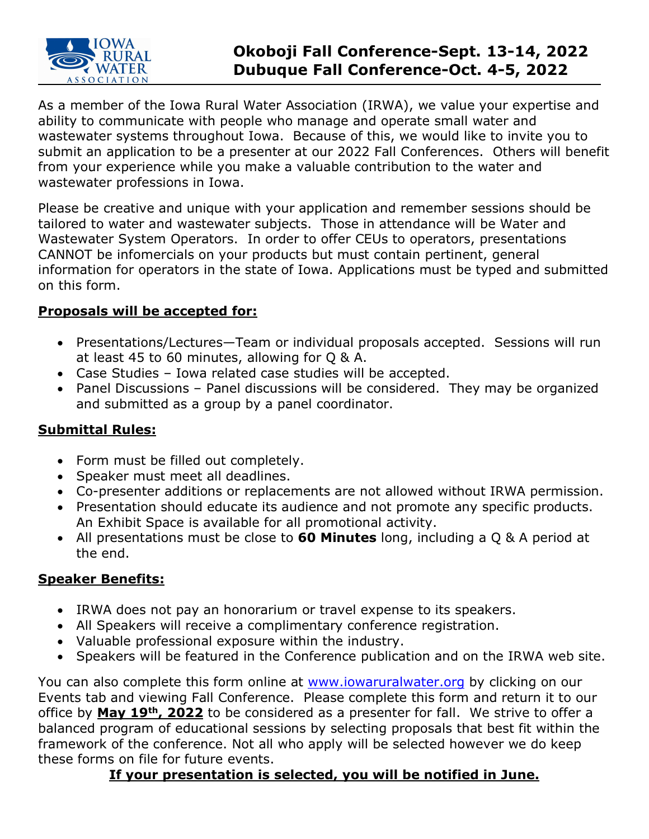

# **Okoboji Fall Conference-Sept. 13-14, 2022 Dubuque Fall Conference-Oct. 4-5, 2022**

As a member of the Iowa Rural Water Association (IRWA), we value your expertise and ability to communicate with people who manage and operate small water and wastewater systems throughout Iowa. Because of this, we would like to invite you to submit an application to be a presenter at our 2022 Fall Conferences. Others will benefit from your experience while you make a valuable contribution to the water and wastewater professions in Iowa.

Please be creative and unique with your application and remember sessions should be tailored to water and wastewater subjects. Those in attendance will be Water and Wastewater System Operators. In order to offer CEUs to operators, presentations CANNOT be infomercials on your products but must contain pertinent, general information for operators in the state of Iowa. Applications must be typed and submitted on this form.

### **Proposals will be accepted for:**

- Presentations/Lectures—Team or individual proposals accepted. Sessions will run at least 45 to 60 minutes, allowing for Q & A.
- Case Studies Iowa related case studies will be accepted.
- Panel Discussions Panel discussions will be considered. They may be organized and submitted as a group by a panel coordinator.

### **Submittal Rules:**

- Form must be filled out completely.
- Speaker must meet all deadlines.
- Co-presenter additions or replacements are not allowed without IRWA permission.
- Presentation should educate its audience and not promote any specific products. An Exhibit Space is available for all promotional activity.
- All presentations must be close to **60 Minutes** long, including a Q & A period at the end.

## **Speaker Benefits:**

- IRWA does not pay an honorarium or travel expense to its speakers.
- All Speakers will receive a complimentary conference registration.
- Valuable professional exposure within the industry.
- Speakers will be featured in the Conference publication and on the IRWA web site.

You can also complete this form online at [www.iowaruralwater.org](http://www.iowaruralwater.org/) by clicking on our Events tab and viewing Fall Conference. Please complete this form and return it to our office by **May 19th, 2022** to be considered as a presenter for fall. We strive to offer a balanced program of educational sessions by selecting proposals that best fit within the framework of the conference. Not all who apply will be selected however we do keep these forms on file for future events.

## **If your presentation is selected, you will be notified in June.**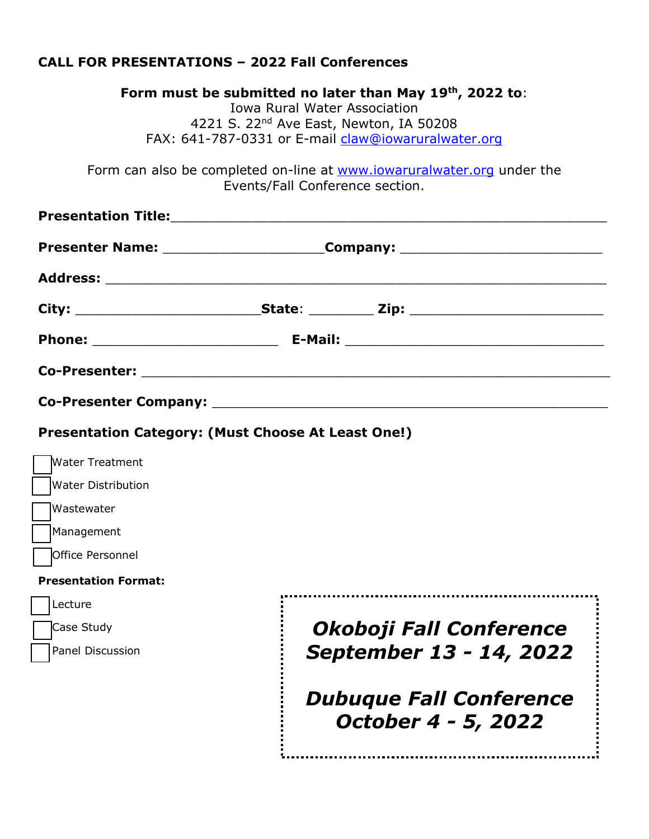## **CALL FOR PRESENTATIONS – 2022 Fall Conferences**

| Form must be submitted no later than May 19th, 2022 to:                                                   |  |  |  |  |
|-----------------------------------------------------------------------------------------------------------|--|--|--|--|
| <b>Iowa Rural Water Association</b>                                                                       |  |  |  |  |
| 4221 S. 22 <sup>nd</sup> Ave East, Newton, IA 50208                                                       |  |  |  |  |
| FAX: 641-787-0331 or E-mail claw@iowaruralwater.org                                                       |  |  |  |  |
| Form can also be completed on-line at www.jowaruralwater.org under the<br>Events/Fall Conference section. |  |  |  |  |
| <b>Presentation Title:</b>                                                                                |  |  |  |  |
|                                                                                                           |  |  |  |  |
| <b>Presenter Name:</b><br>Company:                                                                        |  |  |  |  |

| Phone: _________________________                                                                               |  |  |
|----------------------------------------------------------------------------------------------------------------|--|--|
|                                                                                                                |  |  |
| Co-Presenter Company: Management Control of the Control of the Control of the Control of the Control of the Co |  |  |

#### **Presentation Category: (Must Choose At Least One!)**

| Water Treatment             |                                                       |
|-----------------------------|-------------------------------------------------------|
| <b>Water Distribution</b>   |                                                       |
| Wastewater                  |                                                       |
| Management                  |                                                       |
| <b>Office Personnel</b>     |                                                       |
| <b>Presentation Format:</b> |                                                       |
| Lecture                     |                                                       |
| Case Study                  | Okoboji Fall Conference                               |
| Panel Discussion            | September 13 - 14, 2022                               |
|                             | <b>Dubuque Fall Conference</b><br>October 4 - 5, 2022 |
|                             |                                                       |